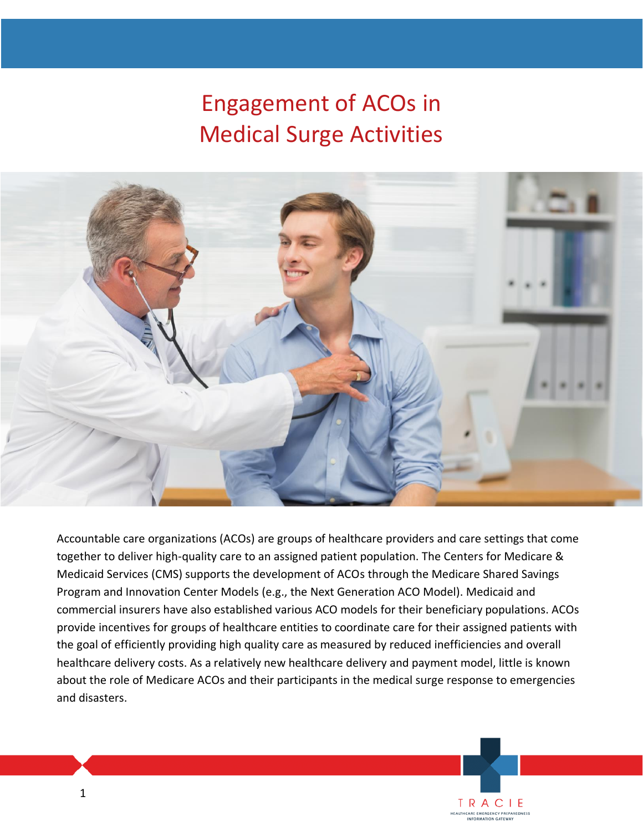# Engagement of ACOs in Medical Surge Activities



Accountable care organizations (ACOs) are groups of healthcare providers and care settings that come together to deliver high-quality care to an assigned patient population. The Centers for Medicare & Medicaid Services (CMS) supports the development of ACOs through the Medicare Shared Savings Program and Innovation Center Models (e.g., the Next Generation ACO Model). Medicaid and commercial insurers have also established various ACO models for their beneficiary populations. ACOs provide incentives for groups of healthcare entities to coordinate care for their assigned patients with the goal of efficiently providing high quality care as measured by reduced inefficiencies and overall healthcare delivery costs. As a relatively new healthcare delivery and payment model, little is known about the role of Medicare ACOs and their participants in the medical surge response to emergencies and disasters.

> **TRACIE EALTHCARE EMERGENCY PREPAREDNESS**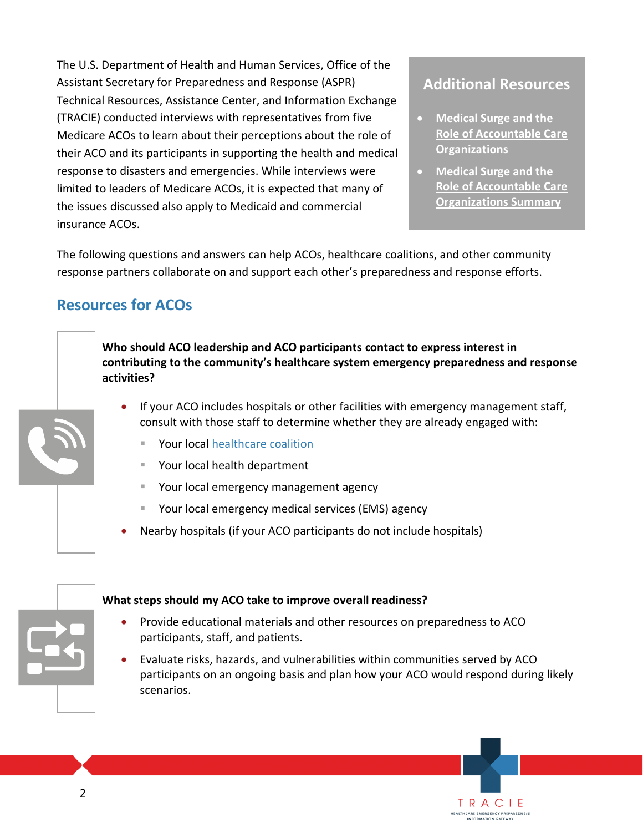The U.S. Department of Health and Human Services, Office of the Assistant Secretary for Preparedness and Response (ASPR) Technical Resources, Assistance Center, and Information Exchange (TRACIE) conducted interviews with representatives from five Medicare ACOs to learn about their perceptions about the role of their ACO and its participants in supporting the health and medical response to disasters and emergencies. While interviews were limited to leaders of Medicare ACOs, it is expected that many of the issues discussed also apply to Medicaid and commercial insurance ACOs.

**Additional Resources**

- **[Medical Surge and the](https://files.asprtracie.hhs.gov/documents/aspr-tracie-aco-report-final.pdf)  [Role of Accountable Care](https://files.asprtracie.hhs.gov/documents/aspr-tracie-aco-report-final.pdf)  [Organizations](https://files.asprtracie.hhs.gov/documents/aspr-tracie-aco-report-final.pdf)**
- **[Medical Surge and the](https://files.asprtracie.hhs.gov/documents/aspr-tracie-aco-medical-surge-one-pager-final.pdf)  [Role of Accountable Care](https://files.asprtracie.hhs.gov/documents/aspr-tracie-aco-medical-surge-one-pager-final.pdf)  [Organizations Summary](https://files.asprtracie.hhs.gov/documents/aspr-tracie-aco-medical-surge-one-pager-final.pdf)**

TRACIE HEALTHCARE EMERGENCY PREPAREDNESS<br>INFORMATION GATEWAY

The following questions and answers can help ACOs, healthcare coalitions, and other community response partners collaborate on and support each other's preparedness and response efforts.

# **Resources for ACOs**

**Who should ACO leadership and ACO participants contact to express interest in contributing to the community's healthcare system emergency preparedness and response activities?**

- If your ACO includes hospitals or other facilities with emergency management staff, consult with those staff to determine whether they are already engaged with:
	- Your local [healthcare coalition](https://www.phe.gov/Preparedness/planning/hpp/Pages/find-hc-coalition.aspx)
	- Your local health department
	- Your local emergency management agency
	- Your local emergency medical services (EMS) agency
- Nearby hospitals (if your ACO participants do not include hospitals)



#### **What steps should my ACO take to improve overall readiness?**

- Provide educational materials and other resources on preparedness to ACO participants, staff, and patients.
- Evaluate risks, hazards, and vulnerabilities within communities served by ACO participants on an ongoing basis and plan how your ACO would respond during likely scenarios.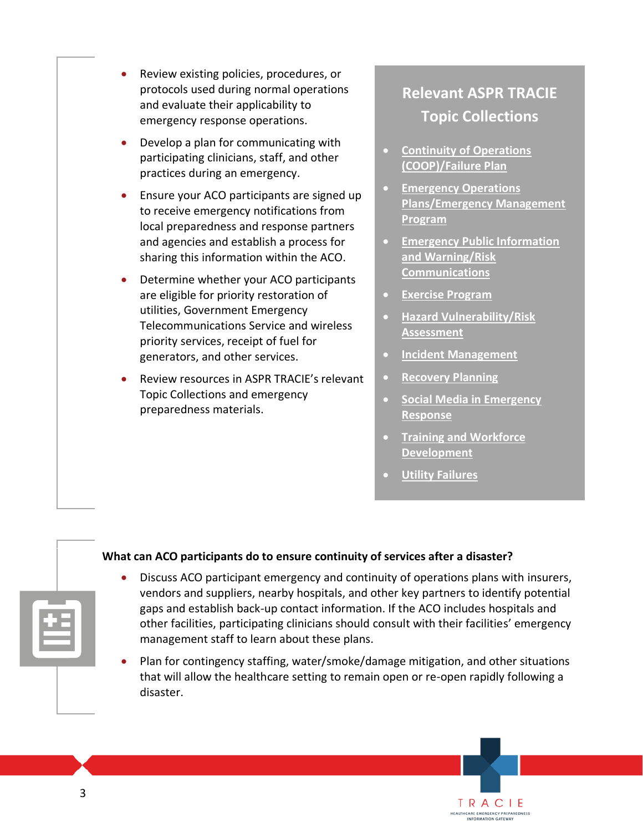- Review existing policies, procedures, or protocols used during normal operations and evaluate their applicability to emergency response operations.
- Develop a plan for communicating with participating clinicians, staff, and other practices during an emergency.
- Ensure your ACO participants are signed up to receive emergency notifications from local preparedness and response partners and agencies and establish a process for sharing this information within the ACO.
- Determine whether your ACO participants are eligible for priority restoration of utilities, Government Emergency Telecommunications Service and wireless priority services, receipt of fuel for generators, and other services.
- Review resources in ASPR TRACIE's relevant Topic Collections and emergency preparedness materials.

# **Relevant ASPR TRACIE Topic Collections**

- **[Continuity of Operations](https://asprtracie.hhs.gov/technical-resources/17/continuity-of-operations-coop-failure-plan/16)  [\(COOP\)/Failure Plan](https://asprtracie.hhs.gov/technical-resources/17/continuity-of-operations-coop-failure-plan/16)**
- **[Emergency Operations](https://asprtracie.hhs.gov/technical-resources/84/emncy-operations-plans-emncy-management-program/1)  [Plans/Emergency Management](https://asprtracie.hhs.gov/technical-resources/84/emncy-operations-plans-emncy-management-program/1)  [Program](https://asprtracie.hhs.gov/technical-resources/84/emncy-operations-plans-emncy-management-program/1)**
- **[Emergency Public Information](https://asprtracie.hhs.gov/technical-resources/79/emncy-public-information-and-warning-risk-communications/77)  [and Warning/Risk](https://asprtracie.hhs.gov/technical-resources/79/emncy-public-information-and-warning-risk-communications/77)  [Communications](https://asprtracie.hhs.gov/technical-resources/79/emncy-public-information-and-warning-risk-communications/77)**
- **[Exercise Program](https://asprtracie.hhs.gov/technical-resources/7/exercise-program/6)**
- **[Hazard Vulnerability/Risk](https://asprtracie.hhs.gov/technical-resources/3/hazard-vulnerability-risk-assessment/1)  [Assessment](https://asprtracie.hhs.gov/technical-resources/3/hazard-vulnerability-risk-assessment/1)**
- **[Incident Management](https://asprtracie.hhs.gov/technical-resources/14/incident-management/1)**
- **[Recovery Planning](https://asprtracie.hhs.gov/technical-resources/18/recovery-planning/16)**
- **[Social Media in Emergency](https://asprtracie.hhs.gov/technical-resources/73/social-media-in-emncy-response/60)  [Response](https://asprtracie.hhs.gov/technical-resources/73/social-media-in-emncy-response/60)**

TRACIE HEALTHCARE EMERGENCY PREPAREDNESS

- **[Training and Workforce](https://asprtracie.hhs.gov/technical-resources/11/training-and-workforce-development/9)  [Development](https://asprtracie.hhs.gov/technical-resources/11/training-and-workforce-development/9)**
- **[Utility Failures](https://asprtracie.hhs.gov/technical-resources/35/utility-failures/27)**

#### **What can ACO participants do to ensure continuity of services after a disaster?**

- Discuss ACO participant emergency and continuity of operations plans with insurers, vendors and suppliers, nearby hospitals, and other key partners to identify potential gaps and establish back-up contact information. If the ACO includes hospitals and other facilities, participating clinicians should consult with their facilities' emergency management staff to learn about these plans.
- Plan for contingency staffing, water/smoke/damage mitigation, and other situations that will allow the healthcare setting to remain open or re-open rapidly following a disaster.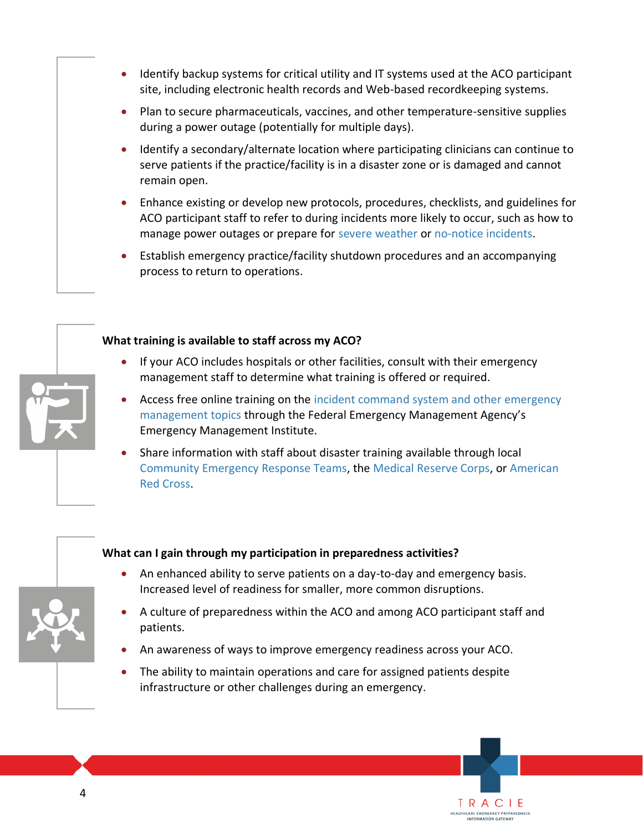- Identify backup systems for critical utility and IT systems used at the ACO participant site, including electronic health records and Web-based recordkeeping systems.
- Plan to secure pharmaceuticals, vaccines, and other temperature-sensitive supplies during a power outage (potentially for multiple days).
- Identify a secondary/alternate location where participating clinicians can continue to serve patients if the practice/facility is in a disaster zone or is damaged and cannot remain open.
- Enhance existing or develop new protocols, procedures, checklists, and guidelines for ACO participant staff to refer to during incidents more likely to occur, such as how to manage power outages or prepare for [severe weather](https://asprtracie.hhs.gov/technical-resources/36/natural-disasters/27) o[r no-notice incidents.](https://asprtracie.hhs.gov/mass-violence#no-notice-incident-tip-sheets)
- Establish emergency practice/facility shutdown procedures and an accompanying process to return to operations.



#### **What training is available to staff across my ACO?**

- If your ACO includes hospitals or other facilities, consult with their emergency management staff to determine what training is offered or required.
- Access free online training on the [incident command system and other emergency](https://training.fema.gov/is/crslist.aspx?all=true)  [management topics](https://training.fema.gov/is/crslist.aspx?all=true) through the Federal Emergency Management Agency's Emergency Management Institute.
- Share information with staff about disaster training available through local [Community Emergency Response Teams,](https://www.ready.gov/community-emergency-response-team) the [Medical Reserve Corps,](https://mrc.hhs.gov/pageviewfldr/About) or [American](https://www.redcross.org/take-a-class)  [Red Cross.](https://www.redcross.org/take-a-class)

#### **What can I gain through my participation in preparedness activities?**

- An enhanced ability to serve patients on a day-to-day and emergency basis. Increased level of readiness for smaller, more common disruptions.
- A culture of preparedness within the ACO and among ACO participant staff and patients.

TRACIE HEALTHCARE EMERGENCY PREPAREDNESS

- An awareness of ways to improve emergency readiness across your ACO.
- The ability to maintain operations and care for assigned patients despite infrastructure or other challenges during an emergency.

4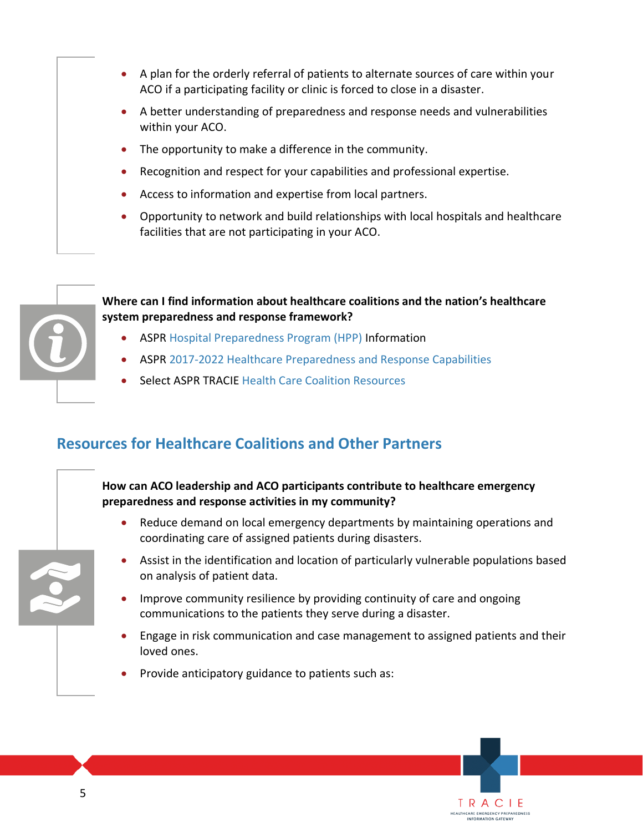- A plan for the orderly referral of patients to alternate sources of care within your ACO if a participating facility or clinic is forced to close in a disaster.
- A better understanding of preparedness and response needs and vulnerabilities within your ACO.
- The opportunity to make a difference in the community.
- Recognition and respect for your capabilities and professional expertise.
- Access to information and expertise from local partners.
- Opportunity to network and build relationships with local hospitals and healthcare facilities that are not participating in your ACO.



#### **Where can I find information about healthcare coalitions and the nation's healthcare system preparedness and response framework?**

- ASPR [Hospital Preparedness Program \(HPP\)](https://www.phe.gov/Preparedness/planning/hpp/Pages/default.aspx) Information
- ASPR [2017-2022 Healthcare Preparedness and Response Capabilities](https://www.phe.gov/Preparedness/planning/hpp/reports/Documents/2017-2022-healthcare-pr-capablities.pdf)
- Select ASPR TRACIE [Health Care Coalition Resources](https://asprtracie.hhs.gov/hcc-resources)

## **Resources for Healthcare Coalitions and Other Partners**

#### **How can ACO leadership and ACO participants contribute to healthcare emergency preparedness and response activities in my community?**

- Reduce demand on local emergency departments by maintaining operations and coordinating care of assigned patients during disasters.
- Assist in the identification and location of particularly vulnerable populations based on analysis of patient data.
- Improve community resilience by providing continuity of care and ongoing communications to the patients they serve during a disaster.
- Engage in risk communication and case management to assigned patients and their loved ones.

TRACIE **IEALTHCARE EMERGENCY PREPAREDNESS** 

• Provide anticipatory guidance to patients such as:

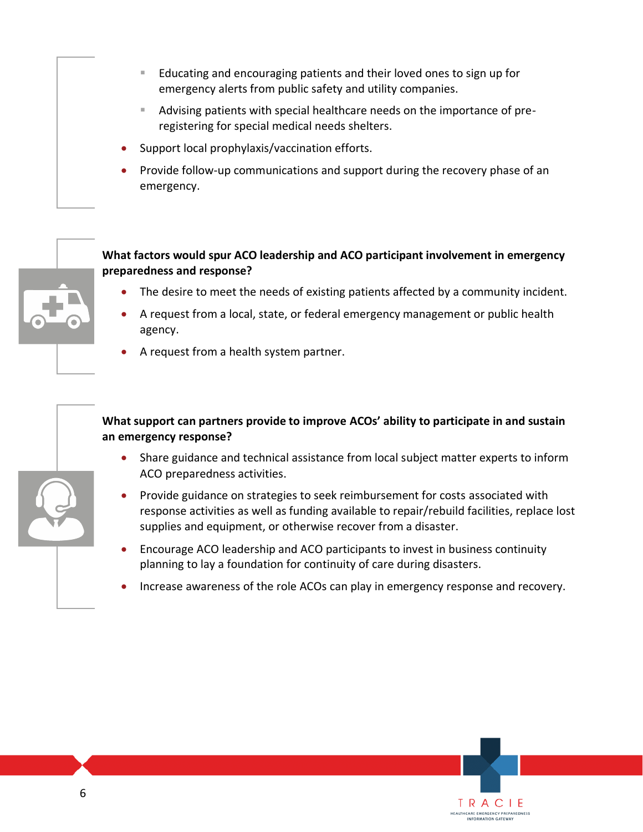- Educating and encouraging patients and their loved ones to sign up for emergency alerts from public safety and utility companies.
- Advising patients with special healthcare needs on the importance of preregistering for special medical needs shelters.
- Support local prophylaxis/vaccination efforts.
- Provide follow-up communications and support during the recovery phase of an emergency.



- The desire to meet the needs of existing patients affected by a community incident.
- A request from a local, state, or federal emergency management or public health agency.
- A request from a health system partner.

#### **What support can partners provide to improve ACOs' ability to participate in and sustain an emergency response?**

- Share guidance and technical assistance from local subject matter experts to inform ACO preparedness activities.
- Provide guidance on strategies to seek reimbursement for costs associated with response activities as well as funding available to repair/rebuild facilities, replace lost supplies and equipment, or otherwise recover from a disaster.
- Encourage ACO leadership and ACO participants to invest in business continuity planning to lay a foundation for continuity of care during disasters.
- Increase awareness of the role ACOs can play in emergency response and recovery.

TRACIE **HEALTHCARE EMERGENCY PREPAREDNESS**